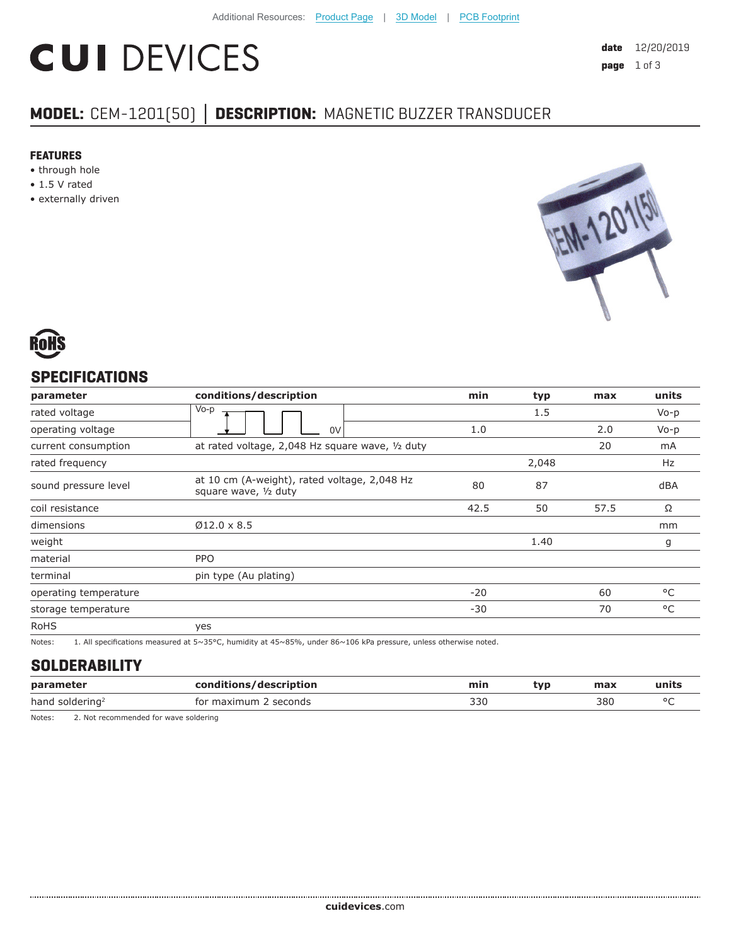# **CUI DEVICES**

## **MODEL:** CEM-1201(50) **│ DESCRIPTION:** MAGNETIC BUZZER TRANSDUCER

#### **FEATURES**

- through hole
- 1.5 V rated
- externally driven





#### **SPECIFICATIONS**

| parameter             | conditions/description                                                | min   | typ   | max  | units        |
|-----------------------|-----------------------------------------------------------------------|-------|-------|------|--------------|
| rated voltage         | $V_0-p$                                                               |       | 1.5   |      | $Vo-p$       |
| operating voltage     | 0V                                                                    | 1.0   |       | 2.0  | $Vo-p$       |
| current consumption   | at rated voltage, 2,048 Hz square wave, 1/2 duty                      |       |       | 20   | mA           |
| rated frequency       |                                                                       |       | 2,048 |      | Hz           |
| sound pressure level  | at 10 cm (A-weight), rated voltage, 2,048 Hz<br>square wave, 1/2 duty | 80    | 87    |      | dBA          |
| coil resistance       |                                                                       | 42.5  | 50    | 57.5 | Ω            |
| dimensions            | $Ø12.0 \times 8.5$                                                    |       |       |      | mm           |
| weight                |                                                                       |       | 1.40  |      | g            |
| material              | <b>PPO</b>                                                            |       |       |      |              |
| terminal              | pin type (Au plating)                                                 |       |       |      |              |
| operating temperature |                                                                       | $-20$ |       | 60   | °C           |
| storage temperature   |                                                                       | $-30$ |       | 70   | $^{\circ}$ C |
| <b>RoHS</b>           | yes                                                                   |       |       |      |              |

Notes: 1. All specifications measured at 5~35°C, humidity at 45~85%, under 86~106 kPa pressure, unless otherwise noted.

#### **SOLDERABILITY**

| param                              |              | max | ⊡nit⊾ |
|------------------------------------|--------------|-----|-------|
| hanc<br>seconds<br>solderin<br>tor | 33C<br>$  -$ | 380 |       |

Notes: 2. Not recommended for wave soldering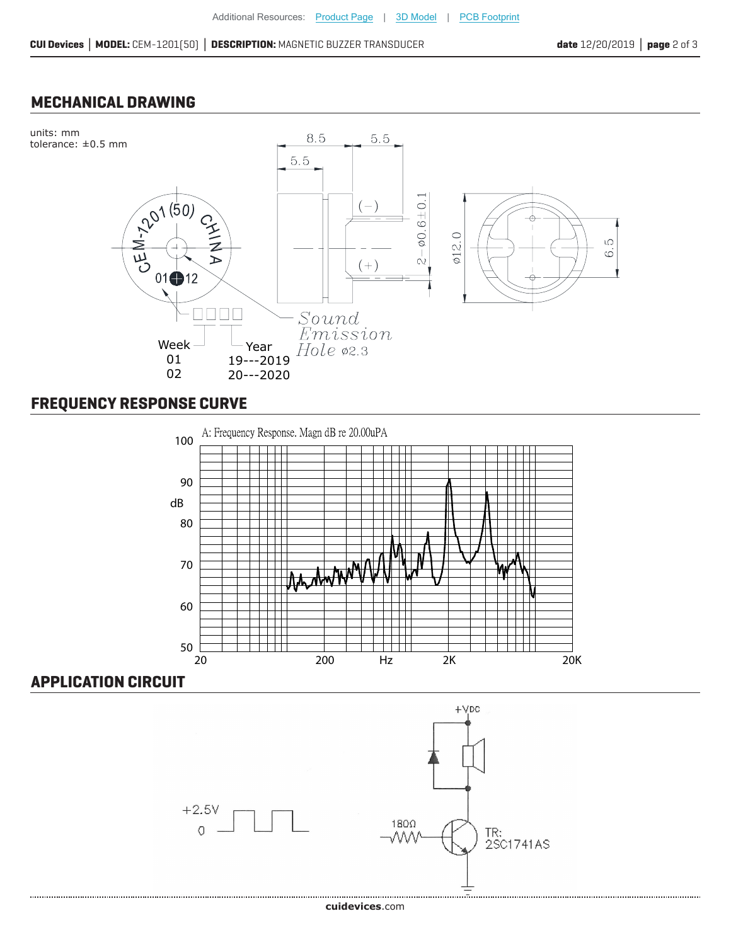#### **MECHANICAL DRAWING**



### **FREQUENCY RESPONSE CURVE**



#### **APPLICATION CIRCUIT**

.................................